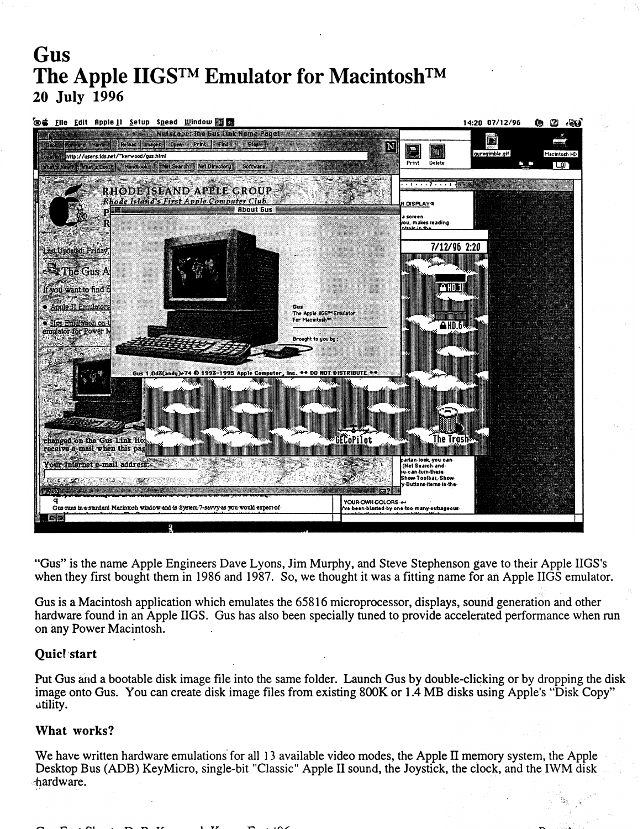# **Gus** The Apple IIGS<sup>™</sup> Emulator for Macintosh<sup>™</sup> 20 July 1996



"Gus" is the name Apple Engineers Dave Lyons, Jim Murphy, and Steve Stephenson gave to their Apple IIGS's when they first bought them in 1986 and 1987. So, we thought it was a fitting name for an Apple IIGS emulator.

Gus is a Macintosh application which emulates the 65816 microprocessor, displays, sound generation and other hardware found in an Apple IIGS. Gus has also been specially tuned to provide accelerated performance when run on any Power Macintosh.·

## Quicl start

Put Gus and a bootable disk image file into the same folder. Launch Gus by double-clicking or by dropping the disk image onto Gus. You can create disk image files from existing 800K or 1.4 MB disks using Apple's "Disk Copy" utility.

## What works?

We have written hardware emulations for all 13 available video modes, the Apple II memory system, the Apple Desktop Bus (ADB) KeyMicro, single-bit "Classic" Apple II sound, the Joystick, the clock, and the IWM disk thandware. *hardware. shardware. shardware.*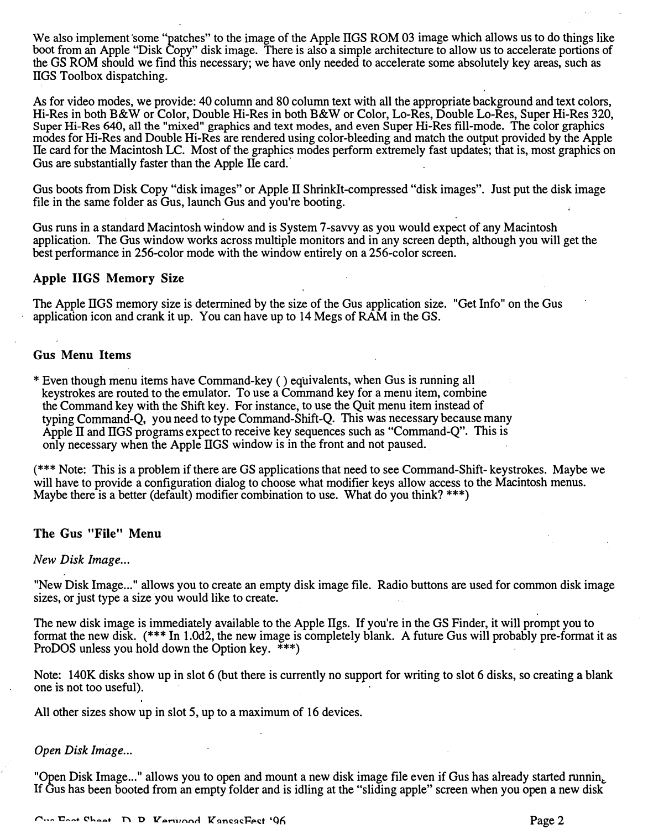We also implement some "patches" to the image of the Apple IIGS ROM 03 image which allows us to do things like boot from an Apple "Disk Copy" disk image. There is also a simple architecture to allow us to accelerate portions of the GS ROM should we find this necessary; we have only needed to accelerate some absolutely key areas, such as IIGS Toolbox dispatching.

As for video modes, we provide: 40 column and 80 column text with all the appropriate background and text colors, Hi-Res in both B&W or Color, Double Hi-Res in both B&W or Color, Lo-Res, Double Lo-Res, Super Hi-Res 320, Super Hi-Res 640, all the "mixed" graphics and text modes, and even Super Hi-Res fill-mode. The color graphics modes for Hi-Res and Double Hi-Res are rendered using color-bleeding and match the output provided by the Apple lie card for the Macintosh LC. Most of the graphics modes perform extremely fast updates; that is, most graphics on Gus are substantially faster than the Apple lle card.

Gus boots from Disk Copy "disk images" or Apple IT Shrinklt-compressed "disk images". Just put the disk image file in the same folder as Gus, launch Gus and you're booting.

Gus runs in a standard Macintosh window and is System 7 -savvy as you would expect of any Macintosh application. The Gus window works across multiple monitors and in any screen depth, although you will get the best performance in 256-color mode with the window entirely on a 256-color screen.

## Apple IIGS Memory Size

The Apple ITGS memory size is determined by the size of the Gus application size. "Get Info" on the Gus application icon and crank it up. You can have up to 14 Megs of RAM in the GS.

## Gus Menu Items

\* Even though menu items have Command-key ( ) equivalents, when Gus is running all keystrokes are routed to the emulator. To use a Command key for a menu item, combine the Command key with the Shift key. For instance, to use the Quit menu item instead of typing Command-Q, you need to type Command-Shift-Q. This was necessary because many Apple II and IIGS programs expect to receive key sequences such as "Command-Q". This is only necessary when the Apple ITGS window is in the front and not paused.

(\*\*\* Note: This is a problem if there are GS applications that need to see Command-Shift- keystrokes. Maybe we will have to provide a configuration dialog to choose what modifier keys allow access to the Macintosh menus. Maybe there is a better (default) modifier combination to use. What do you think? \*\*\*)

## The Gus "File" Menu

#### New Disk Image...

"New Disk Image..." allows you to create an empty disk image file. Radio buttons are used for common disk image sizes, or just type a size you would like to create.

The new disk image is immediately available to the Apple IIgs. If you're in the GS Finder, it will prompt you to format the new disk. (\*\*\*In l.Od2, the new image is completely blank. A future Gus will probably pre-format it as ProDOS unless you hold down the Option key.  $***$ )

Note: 140K disks show up in slot 6 (but there is currently no support for writing to slot 6 disks, so creating a blank one is not too useful). ·

All other sizes show up in slot 5, up to a maximum of 16 devices.

## Open Disk Image...

"Open Disk Image..." allows you to open and mount a new disk image file even if Gus has already started runnin, If Gus has been booted from an empty folder and is idling at the "sliding apple" screen when you open a new disk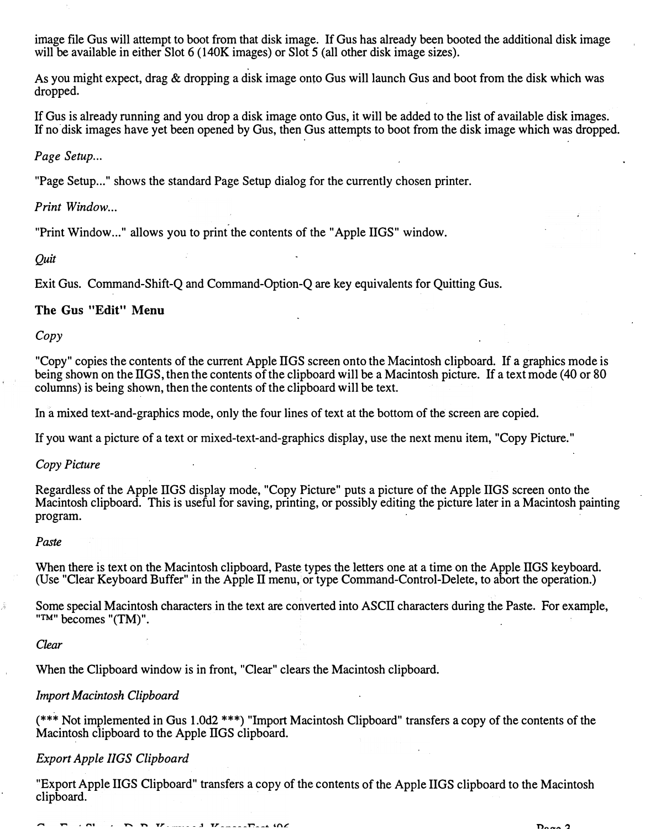image file Gus will attempt to boot from that disk image. If Gus has already been booted the additional disk image will be available in either Slot 6 (140K images) or Slot 5 (all other disk image sizes).

As you might expect, drag & dropping a disk image onto Gus will launch Gus and boot from the disk which was dropped.

If Gus is already running and you drop a disk image onto Gus, it will be added to the list of available disk images. If no disk images have yet been opened by Gus, then Gus attempts to boot from the disk image which was dropped.

Page Setup...

"Page Setup..." shows the standard Page Setup dialog for the currently chosen printer.

Print Window...

"Print Window..." allows you to print the contents of the "Apple IIGS" window.

Quit

Exit Gus. Command-Shift-Q and Command-Option-Q are key equivalents for Quitting Gus.

## The Gus "Edit" Menu

Copy

"Copy" copies the contents of the current Apple IIGS screen onto the Macintosh clipboard. If a graphics mode is being shown on the IIGS, then the contents of the clipboard will be a Macintosh picture. If a text mode (40 or 80 columns) is being shown, then the contents of the clipboard will be text.

In a mixed text-and-graphics mode, only the four lines of text at the bottom of the screen are copied.

If you want a picture of a text or mixed-text-and-graphics display, use the next menu item, "Copy Picture."

Copy Picture

Regardless of the Apple IIGS display mode, "Copy Picture" puts a picture of the Apple IIGS screen onto the Macintosh clipboard. This is useful for saving, printing, or possibly editing the picture later in a Macintosh painting program.

#### Paste

When there is text on the Macintosh clipboard, Paste types the letters one at a time on the Apple IIGS keyboard. (Use "Clear Keyboard Buffer" in the Apple II menu, or type Command-Control-Delete, to abort the operation.)

Some special Macintosh characters in the text are converted into ASCII characters during the Paste. For example, "™" becomes "(TM)".

Clear

When the Clipboard window is in front, "Clear" clears the Macintosh clipboard.

## Import Macintosh Clipboard

(\*\*\* Not implemented in Gus l.Od2 \*\*\*) "Import Macintosh Clipboard" transfers a copy of the contents of the Macintosh clipboard to the Apple IIGS clipboard.

## Export Apple IIGS Clipboard

"Export Apple IIGS Clipboard" transfers a copy of the contents of the Apple IIGS clipboard to the Macintosh clipboard.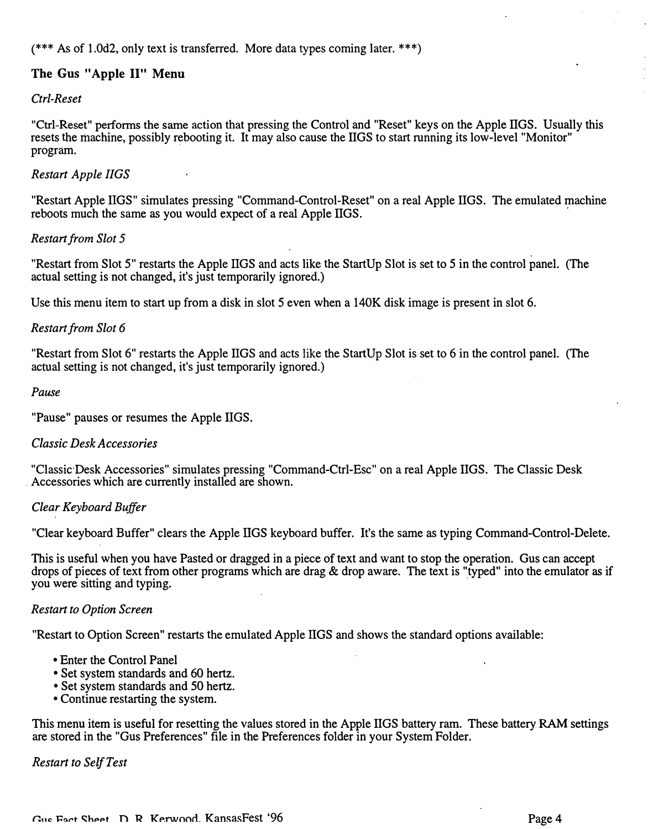$(*** As of 1.0d2, only text is transferred. More data types coming later. **)$ 

# The Gus "Apple II" Menu

## Ctrl-Reset

"Ctrl-Reset" performs the same action that pressing the Control and "Reset" keys on the Apple ITGS. Usually this resets the machine, possibly rebooting it. It may also cause the ITGS to start running its low-level "Monitor" program.

## Restart Apple IIGS

"Restart Apple ITGS" simulates pressing "Command-Control-Reset" on a real Apple ITGS. The emulated machine reboots much the same as you would expect of a real Apple IIGS.

## Restart from Slot 5

"Restart from Slot 5" restarts the Apple IIGS and acts like the StartUp Slot is set to 5 in the control panel. (The actual setting is not changed, it's just temporarily ignored.)

Use this menu item to start up from a disk in slot 5 even when a 140K disk image is present in slot 6.

## Restart from Slot 6

"Restart from Slot 6" restarts the Apple IIGS and acts like the StartUp Slot is set to 6 in the control panel. (The actual setting is not changed, it's just temporarily ignored.)

#### Pause

"Pause" pauses or resumes the Apple ITGS.

## Classic Desk Accessories

"Classic Desk Accessories" simulates pressing "Command-Ctrl-Esc" on a real Apple ITGS. The Classic Desk Accessories which are currently installed are shown.

## Clear Keyboard Buffer

"Clear keyboard Buffer" clears the Apple IIGS keyboard buffer. It's the same as typing Command-Control-Delete.

This is useful when you have Pasted or dragged in a piece of text and want to stop the operation. Gus can accept drops of pieces of text from other programs which are drag & drop aware. The text is "typed" into the emulator as if you were sitting and typing.

## Restart to Option Screen

"Restart to Option Screen" restarts the emulated Apple IIGS and shows the standard options available:

- Enter the Control Panel
- Set system standards and 60 hertz.
- Set system standards and 50 hertz.
- Continue restarting the system.

This menu item is useful for resetting the values stored in the Apple ITGS battery ram. These battery RAM settings are stored in the "Gus Preferences" file in the Preferences folder in your System Folder.

## Restart to Self Test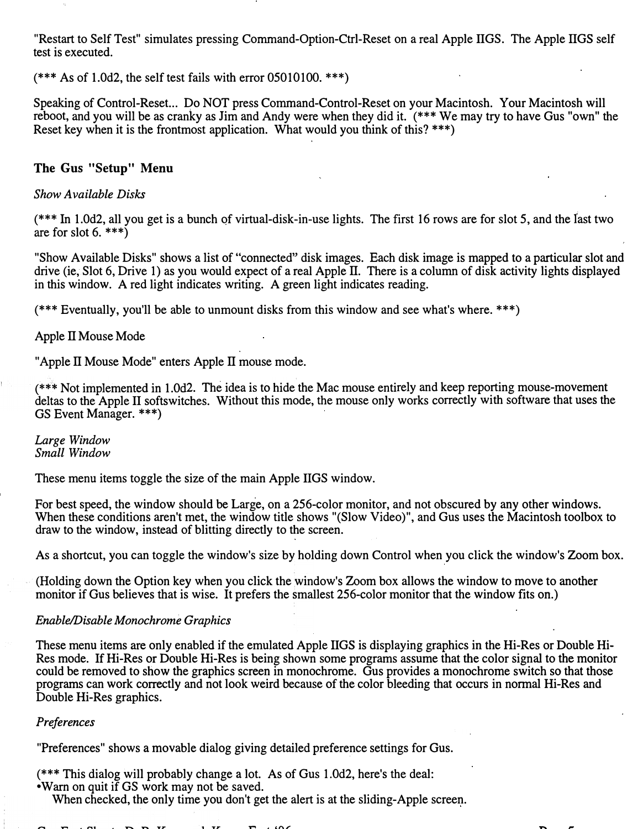"Restart to Self Test" simulates pressing Command-Option-Ctrl-Reset on a real Apple ITGS. The Apple ITGS self test is executed.

 $(*** As of 1.0d2, the self test fails with error 05010100.***)$ 

Speaking of Control-Reset... Do NOT press Command-Control-Reset on your Macintosh. Your Macintosh will reboot, and you will be as cranky as Jim and Andy were when they did it. (\*\*\*We may try to have Gus "own" the Reset key when it is the frontmost application. What would you think of this? \*\*\*)

## The Gus "Setup" Menu

### Show Available Disks

 $(***$  In 1.0d2, all you get is a bunch of virtual-disk-in-use lights. The first 16 rows are for slot 5, and the last two are for slot  $6.***$ )

"Show Available Disks" shows a list of "connected" disk images. Each disk image is mapped to a particular slot and drive (ie, Slot 6, Drive 1) as you would expect of a real Apple II. There is a column of disk activity lights displayed in this window. A red light indicates writing. A green light indicates reading.

(\*\*\*Eventually, you'll be able to unmount disks from this window and see what's where. \*\*\*)

#### Apple II Mouse Mode

"Apple II Mouse Mode" enters Apple II mouse mode.

(\*\*\*Not implemented in l.Od2. The idea is to hide the Mac mouse entirely and keep reporting mouse-movement deltas to the Apple IT softswitches. Without this mode, the mouse only works correctly with software that uses the GS Event Manager. \*\*\*)

Large Window Small Window

These menu items toggle the size of the main Apple ITGS window.

For best speed, the window should be Large, on a 256-color monitor, and not obscured by any other windows. When these conditions aren't met, the window title shows "(Slow Video)", and Gus uses the Macintosh toolbox to draw to the window, instead of blitting directly to the screen.

As a shortcut, you can toggle the window's size by holding down Control when you click the window's Zoom box.

(Holding down the Option key when you click the window's Zoom box allows the window to move to another monitor if Gus believes that is wise. It prefers the smallest 256-color monitor that the window fits on.)

## Enable/Disable Monochrome Graphics

These menu items are only enabled if the emulated Apple IIGS is displaying graphics in the Hi-Res or Double Hi-Res mode. If Hi-Res or Double Hi-Res is being shown some programs assume that the color signal to the monitor could be removed to show the graphics screen in monochrome. Gus provides a monochrome switch so that those programs can work correctly and not look weird because of the color bleeding that occurs in normal Hi-Res and Double Hi-Res graphics.

#### Preferences

"Preferences" shows a movable dialog giving detailed preference settings for Gus.

(\*\*\* This dialog will probably change a lot. As of Gus 1.0d2, here's the deal: • Warn on quit if GS work may not be saved.

When checked, the only time you don't get the alert is at the sliding-Apple screen.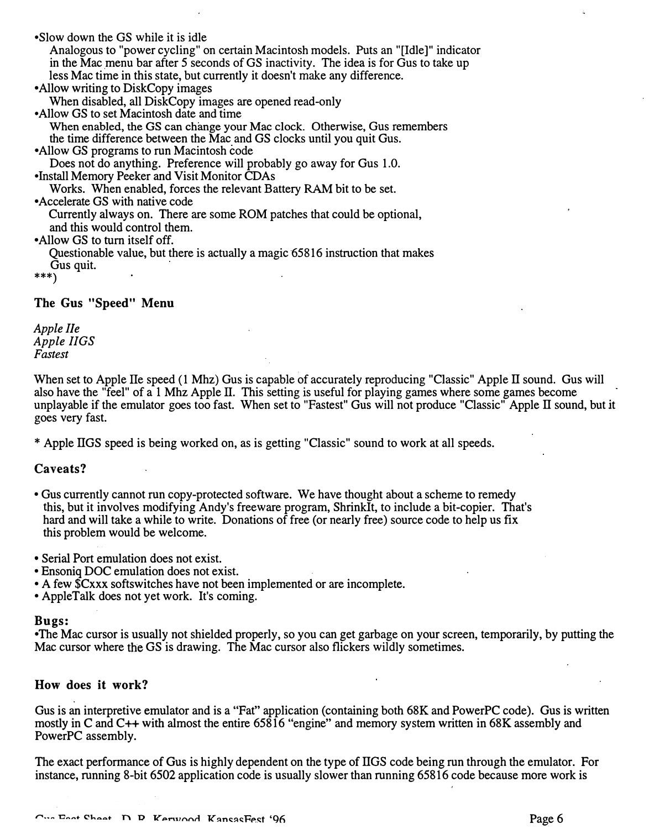•Slow down the GS while it is idle Analogous to "power cycling" on certain Macintosh models. Puts an "[Idle]" indicator in the Mac menu bar after 5 seconds of GS inactivity. The idea is for Gus to take up less Mac time in this state, but currently it doesn't make any difference. • Allow writing to DiskCopy images When disabled, all DiskCopy images are opened read-only •Allow GS to set Macintosh date and time When enabled, the GS can change your Mac clock. Otherwise, Gus remembers the time difference between the Mac and GS clocks until you quit Gus. •Allow GS programs to run Macintosh code Does not do anything. Preference will probably go away for Gus 1.0. •Install Memory Peeker and Visit Monitor CDAs Works. When enabled, forces the relevant Battery RAM bit to be set. • Accelerate GS with native code Currently always on. There are some ROM patches that could be optional, and this would control them. • Allow GS to tum itself off. Questionable value, but there is actually a magic 65816 instruction that makes Gus quit. \*\*\*) The Gus "Speed" Menu

Apple lie Apple IIGS Fastest

When set to Apple IIe speed (1 Mhz) Gus is capable of accurately reproducing "Classic" Apple II sound. Gus will also have the "feel" of a 1 Mhz Apple II. This setting is useful for playing games where some games become unplayable if the emulator goes too fast. When set to "Fastest" Gus will not produce "Classic" Apple II sound, but it goes very fast.

\* Apple IIGS speed is being worked on, as is getting "Classic" sound to work at all speeds.

## Caveats?

- Gus currently cannot run copy-protected software. We have thought about a scheme to remedy this, but it involves modifying Andy's freeware program, ShrinkIt, to include a bit-copier. That's hard and will take a while to write. Donations of free (or nearly free) source code to help us fix this problem would be welcome.
- Serial Port emulation does not exist.
- Ensoniq DOC emulation does not exist.
- A few \$Cxxx softswitches have not been implemented or are incomplete.
- AppleTalk does not yet work. It's coming.

#### Bugs:

•The Mac cursor is usually not shielded properly, so you can get garbage on your screen, temporarily, by putting the Mac cursor where the GS is drawing. The Mac cursor also flickers wildly sometimes.

## How does it work?

Gus is an interpretive emulator and is a "Fat" application (containing both 68K and PowerPC code). Gus is written mostly in C and C++ with almost the entire 65816 "engine" and memory system written in 68K assembly and PowerPC assembly.

The exact performance of Gus is highly dependent on the type of IIGS code being run through the emulator. For instance, running 8-bit 6502 application code is usually slower than running 65816 code because more work is